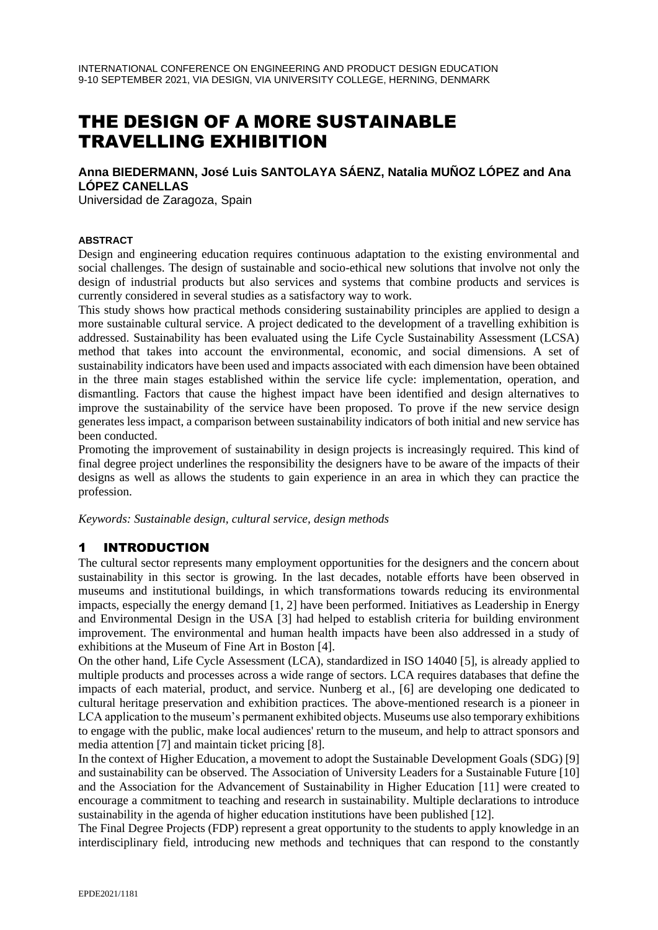# THE DESIGN OF A MORE SUSTAINABLE TRAVELLING EXHIBITION

## **Anna BIEDERMANN, José Luis SANTOLAYA SÁENZ, Natalia MUÑOZ LÓPEZ and Ana LÓPEZ CANELLAS**

Universidad de Zaragoza, Spain

#### **ABSTRACT**

Design and engineering education requires continuous adaptation to the existing environmental and social challenges. The design of sustainable and socio-ethical new solutions that involve not only the design of industrial products but also services and systems that combine products and services is currently considered in several studies as a satisfactory way to work.

This study shows how practical methods considering sustainability principles are applied to design a more sustainable cultural service. A project dedicated to the development of a travelling exhibition is addressed. Sustainability has been evaluated using the Life Cycle Sustainability Assessment (LCSA) method that takes into account the environmental, economic, and social dimensions. A set of sustainability indicators have been used and impacts associated with each dimension have been obtained in the three main stages established within the service life cycle: implementation, operation, and dismantling. Factors that cause the highest impact have been identified and design alternatives to improve the sustainability of the service have been proposed. To prove if the new service design generates less impact, a comparison between sustainability indicators of both initial and new service has been conducted.

Promoting the improvement of sustainability in design projects is increasingly required. This kind of final degree project underlines the responsibility the designers have to be aware of the impacts of their designs as well as allows the students to gain experience in an area in which they can practice the profession.

*Keywords: Sustainable design, cultural service, design methods*

### 1 INTRODUCTION

The cultural sector represents many employment opportunities for the designers and the concern about sustainability in this sector is growing. In the last decades, notable efforts have been observed in museums and institutional buildings, in which transformations towards reducing its environmental impacts, especially the energy demand [1, 2] have been performed. Initiatives as Leadership in Energy and Environmental Design in the USA [3] had helped to establish criteria for building environment improvement. The environmental and human health impacts have been also addressed in a study of exhibitions at the Museum of Fine Art in Boston [4].

On the other hand, Life Cycle Assessment (LCA), standardized in ISO 14040 [5], is already applied to multiple products and processes across a wide range of sectors. LCA requires databases that define the impacts of each material, product, and service. Nunberg et al., [6] are developing one dedicated to cultural heritage preservation and exhibition practices. The above-mentioned research is a pioneer in LCA application to the museum's permanent exhibited objects. Museums use also temporary exhibitions to engage with the public, make local audiences' return to the museum, and help to attract sponsors and media attention [7] and maintain ticket pricing [8].

In the context of Higher Education, a movement to adopt the Sustainable Development Goals (SDG) [9] and sustainability can be observed. The Association of University Leaders for a Sustainable Future [10] and the Association for the Advancement of Sustainability in Higher Education [11] were created to encourage a commitment to teaching and research in sustainability. Multiple declarations to introduce sustainability in the agenda of higher education institutions have been published [12].

The Final Degree Projects (FDP) represent a great opportunity to the students to apply knowledge in an interdisciplinary field, introducing new methods and techniques that can respond to the constantly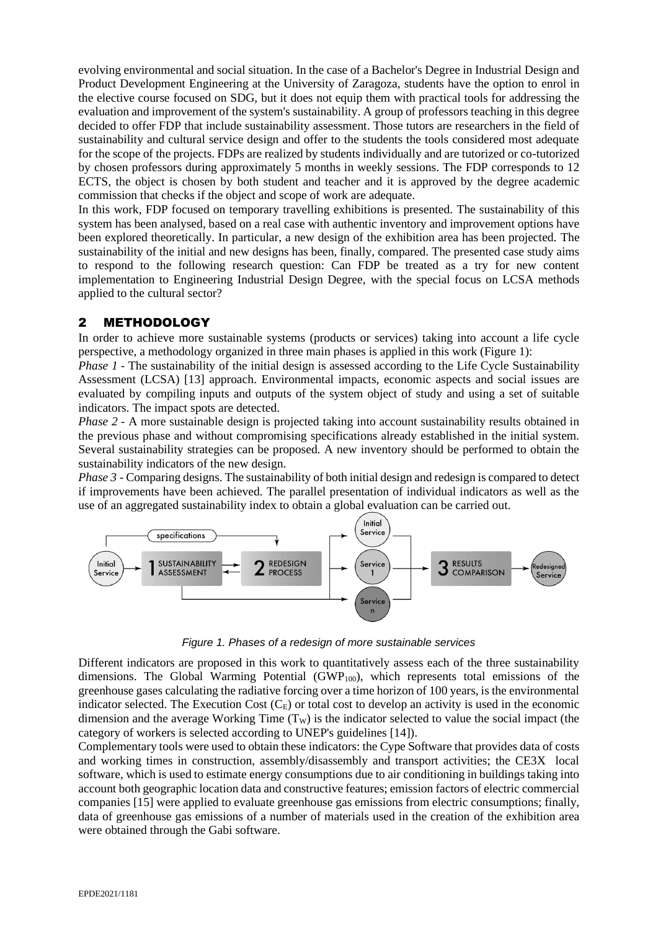evolving environmental and social situation. In the case of a Bachelor's Degree in Industrial Design and Product Development Engineering at the University of Zaragoza, students have the option to enrol in the elective course focused on SDG, but it does not equip them with practical tools for addressing the evaluation and improvement of the system's sustainability. A group of professors teaching in this degree decided to offer FDP that include sustainability assessment. Those tutors are researchers in the field of sustainability and cultural service design and offer to the students the tools considered most adequate for the scope of the projects. FDPs are realized by students individually and are tutorized or co-tutorized by chosen professors during approximately 5 months in weekly sessions. The FDP corresponds to 12 ECTS, the object is chosen by both student and teacher and it is approved by the degree academic commission that checks if the object and scope of work are adequate.

In this work, FDP focused on temporary travelling exhibitions is presented. The sustainability of this system has been analysed, based on a real case with authentic inventory and improvement options have been explored theoretically. In particular, a new design of the exhibition area has been projected. The sustainability of the initial and new designs has been, finally, compared. The presented case study aims to respond to the following research question: Can FDP be treated as a try for new content implementation to Engineering Industrial Design Degree, with the special focus on LCSA methods applied to the cultural sector?

### 2 METHODOLOGY

In order to achieve more sustainable systems (products or services) taking into account a life cycle perspective, a methodology organized in three main phases is applied in this work (Figure 1):

*Phase 1* - The sustainability of the initial design is assessed according to the Life Cycle Sustainability Assessment (LCSA) [13] approach. Environmental impacts, economic aspects and social issues are evaluated by compiling inputs and outputs of the system object of study and using a set of suitable indicators. The impact spots are detected.

*Phase 2* - A more sustainable design is projected taking into account sustainability results obtained in the previous phase and without compromising specifications already established in the initial system. Several sustainability strategies can be proposed. A new inventory should be performed to obtain the sustainability indicators of the new design.

*Phase 3* - Comparing designs. The sustainability of both initial design and redesign is compared to detect if improvements have been achieved. The parallel presentation of individual indicators as well as the use of an aggregated sustainability index to obtain a global evaluation can be carried out.



*Figure 1. Phases of a redesign of more sustainable services*

Different indicators are proposed in this work to quantitatively assess each of the three sustainability dimensions. The Global Warming Potential (GWP<sub>100</sub>), which represents total emissions of the greenhouse gases calculating the radiative forcing over a time horizon of 100 years, is the environmental indicator selected. The Execution Cost  $(C_E)$  or total cost to develop an activity is used in the economic dimension and the average Working Time  $(T_W)$  is the indicator selected to value the social impact (the category of workers is selected according to UNEP's guidelines [14]).

Complementary tools were used to obtain these indicators: the Cype Software that provides data of costs and working times in construction, assembly/disassembly and transport activities; the CE3X local software, which is used to estimate energy consumptions due to air conditioning in buildings taking into account both geographic location data and constructive features; emission factors of electric commercial companies [15] were applied to evaluate greenhouse gas emissions from electric consumptions; finally, data of greenhouse gas emissions of a number of materials used in the creation of the exhibition area were obtained through the Gabi software.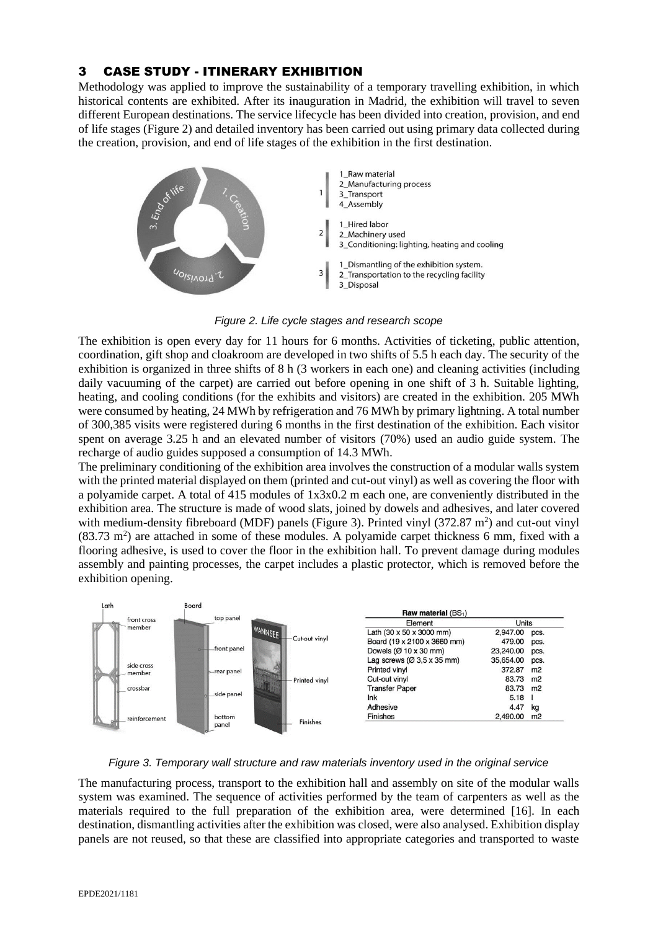## 3 CASE STUDY - ITINERARY EXHIBITION

Methodology was applied to improve the sustainability of a temporary travelling exhibition, in which historical contents are exhibited. After its inauguration in Madrid, the exhibition will travel to seven different European destinations. The service lifecycle has been divided into creation, provision, and end of life stages (Figure 2) and detailed inventory has been carried out using primary data collected during the creation, provision, and end of life stages of the exhibition in the first destination.





The exhibition is open every day for 11 hours for 6 months. Activities of ticketing, public attention, coordination, gift shop and cloakroom are developed in two shifts of 5.5 h each day. The security of the exhibition is organized in three shifts of 8 h (3 workers in each one) and cleaning activities (including daily vacuuming of the carpet) are carried out before opening in one shift of 3 h. Suitable lighting, heating, and cooling conditions (for the exhibits and visitors) are created in the exhibition. 205 MWh were consumed by heating, 24 MWh by refrigeration and 76 MWh by primary lightning. A total number of 300,385 visits were registered during 6 months in the first destination of the exhibition. Each visitor spent on average 3.25 h and an elevated number of visitors (70%) used an audio guide system. The recharge of audio guides supposed a consumption of 14.3 MWh.

The preliminary conditioning of the exhibition area involves the construction of a modular walls system with the printed material displayed on them (printed and cut-out vinyl) as well as covering the floor with a polyamide carpet. A total of 415 modules of 1x3x0.2 m each one, are conveniently distributed in the exhibition area. The structure is made of wood slats, joined by dowels and adhesives, and later covered with medium-density fibreboard (MDF) panels (Figure 3). Printed vinyl  $(372.87 \text{ m}^2)$  and cut-out vinyl  $(83.73 \text{ m}^2)$  are attached in some of these modules. A polyamide carpet thickness 6 mm, fixed with a flooring adhesive, is used to cover the floor in the exhibition hall. To prevent damage during modules assembly and painting processes, the carpet includes a plastic protector, which is removed before the exhibition opening.



*Figure 3. Temporary wall structure and raw materials inventory used in the original service*

The manufacturing process, transport to the exhibition hall and assembly on site of the modular walls system was examined. The sequence of activities performed by the team of carpenters as well as the materials required to the full preparation of the exhibition area, were determined [16]. In each destination, dismantling activities after the exhibition was closed, were also analysed. Exhibition display panels are not reused, so that these are classified into appropriate categories and transported to waste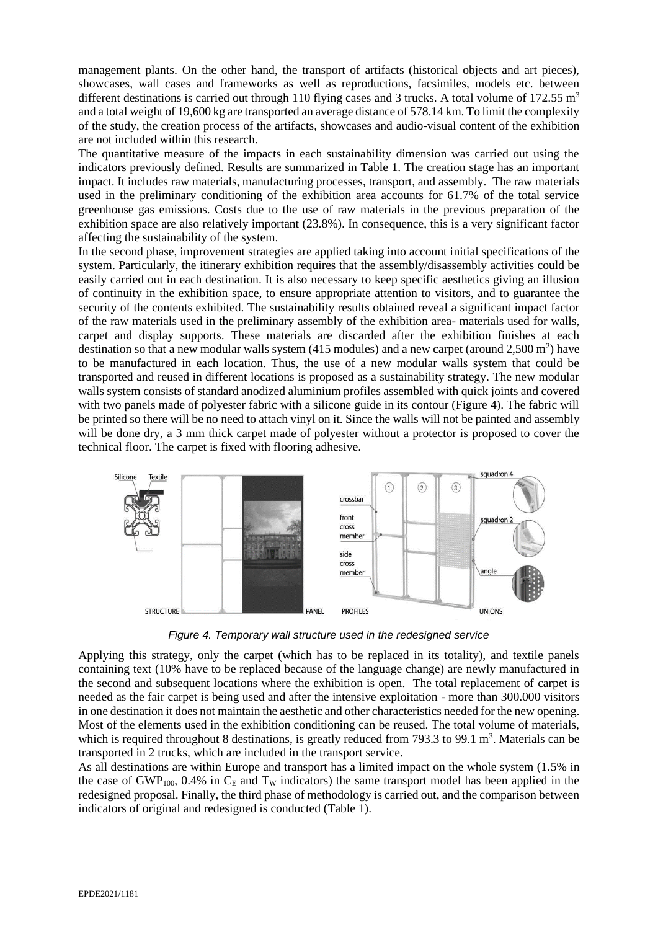management plants. On the other hand, the transport of artifacts (historical objects and art pieces), showcases, wall cases and frameworks as well as reproductions, facsimiles, models etc. between different destinations is carried out through 110 flying cases and 3 trucks. A total volume of 172.55  $\mathrm{m}^3$ and a total weight of 19,600 kg are transported an average distance of 578.14 km. To limit the complexity of the study, the creation process of the artifacts, showcases and audio-visual content of the exhibition are not included within this research.

The quantitative measure of the impacts in each sustainability dimension was carried out using the indicators previously defined. Results are summarized in Table 1. The creation stage has an important impact. It includes raw materials, manufacturing processes, transport, and assembly. The raw materials used in the preliminary conditioning of the exhibition area accounts for 61.7% of the total service greenhouse gas emissions. Costs due to the use of raw materials in the previous preparation of the exhibition space are also relatively important (23.8%). In consequence, this is a very significant factor affecting the sustainability of the system.

In the second phase, improvement strategies are applied taking into account initial specifications of the system. Particularly, the itinerary exhibition requires that the assembly/disassembly activities could be easily carried out in each destination. It is also necessary to keep specific aesthetics giving an illusion of continuity in the exhibition space, to ensure appropriate attention to visitors, and to guarantee the security of the contents exhibited. The sustainability results obtained reveal a significant impact factor of the raw materials used in the preliminary assembly of the exhibition area- materials used for walls, carpet and display supports. These materials are discarded after the exhibition finishes at each destination so that a new modular walls system  $(415 \text{ modules})$  and a new carpet (around  $2,500 \text{ m}^2$ ) have to be manufactured in each location. Thus, the use of a new modular walls system that could be transported and reused in different locations is proposed as a sustainability strategy. The new modular walls system consists of standard anodized aluminium profiles assembled with quick joints and covered with two panels made of polyester fabric with a silicone guide in its contour (Figure 4). The fabric will be printed so there will be no need to attach vinyl on it. Since the walls will not be painted and assembly will be done dry, a 3 mm thick carpet made of polyester without a protector is proposed to cover the technical floor. The carpet is fixed with flooring adhesive.



*Figure 4. Temporary wall structure used in the redesigned service*

Applying this strategy, only the carpet (which has to be replaced in its totality), and textile panels containing text (10% have to be replaced because of the language change) are newly manufactured in the second and subsequent locations where the exhibition is open. The total replacement of carpet is needed as the fair carpet is being used and after the intensive exploitation - more than 300.000 visitors in one destination it does not maintain the aesthetic and other characteristics needed for the new opening. Most of the elements used in the exhibition conditioning can be reused. The total volume of materials, which is required throughout 8 destinations, is greatly reduced from 793.3 to 99.1  $m<sup>3</sup>$ . Materials can be transported in 2 trucks, which are included in the transport service.

As all destinations are within Europe and transport has a limited impact on the whole system (1.5% in the case of GWP<sub>100</sub>, 0.4% in  $C_F$  and T<sub>W</sub> indicators) the same transport model has been applied in the redesigned proposal. Finally, the third phase of methodology is carried out, and the comparison between indicators of original and redesigned is conducted (Table 1).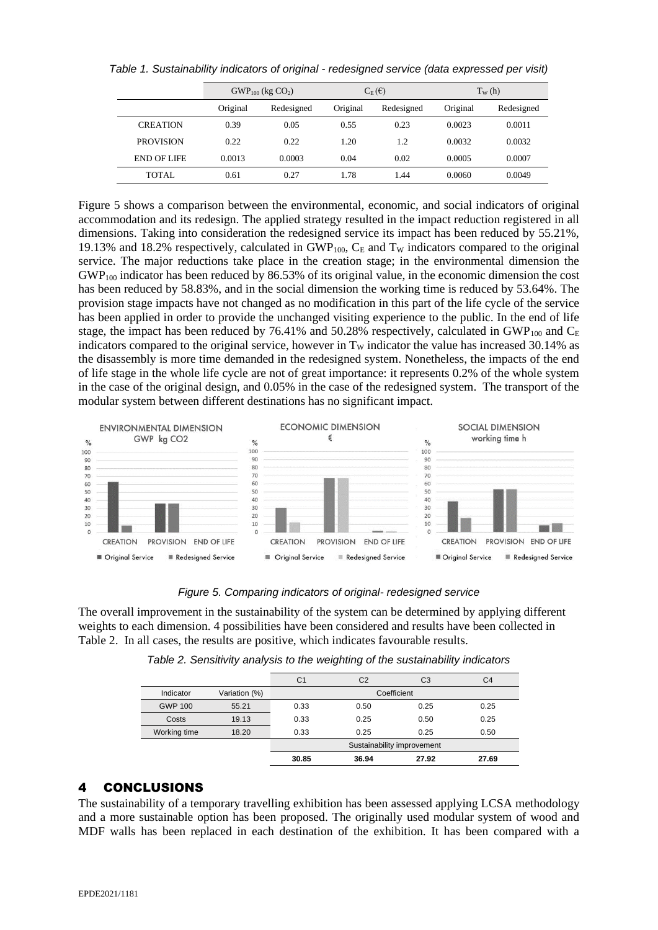|  | Table 1. Sustainability indicators of original - redesigned service (data expressed per visit) |  |  |  |  |  |  |  |
|--|------------------------------------------------------------------------------------------------|--|--|--|--|--|--|--|
|--|------------------------------------------------------------------------------------------------|--|--|--|--|--|--|--|

|                    | $GWP_{100}$ (kg $CO2$ ) |            | $C_E(\epsilon)$ |            | $T_{W}$ (h) |            |
|--------------------|-------------------------|------------|-----------------|------------|-------------|------------|
|                    | Original                | Redesigned | Original        | Redesigned | Original    | Redesigned |
| <b>CREATION</b>    | 0.39                    | 0.05       | 0.55            | 0.23       | 0.0023      | 0.0011     |
| <b>PROVISION</b>   | 0.22                    | 0.22       | 1.20            | 1.2        | 0.0032      | 0.0032     |
| <b>END OF LIFE</b> | 0.0013                  | 0.0003     | 0.04            | 0.02       | 0.0005      | 0.0007     |
| <b>TOTAL</b>       | 0.61                    | 0.27       | 1.78            | 1.44       | 0.0060      | 0.0049     |

Figure 5 shows a comparison between the environmental, economic, and social indicators of original accommodation and its redesign. The applied strategy resulted in the impact reduction registered in all dimensions. Taking into consideration the redesigned service its impact has been reduced by 55.21%, 19.13% and 18.2% respectively, calculated in  $GWP<sub>100</sub>$ ,  $C<sub>E</sub>$  and T<sub>W</sub> indicators compared to the original service. The major reductions take place in the creation stage; in the environmental dimension the GWP<sup>100</sup> indicator has been reduced by 86.53% of its original value, in the economic dimension the cost has been reduced by 58.83%, and in the social dimension the working time is reduced by 53.64%. The provision stage impacts have not changed as no modification in this part of the life cycle of the service has been applied in order to provide the unchanged visiting experience to the public. In the end of life stage, the impact has been reduced by 76.41% and 50.28% respectively, calculated in GWP<sub>100</sub> and  $C_E$ indicators compared to the original service, however in  $T_W$  indicator the value has increased 30.14% as the disassembly is more time demanded in the redesigned system. Nonetheless, the impacts of the end of life stage in the whole life cycle are not of great importance: it represents 0.2% of the whole system in the case of the original design, and 0.05% in the case of the redesigned system. The transport of the modular system between different destinations has no significant impact.



#### *Figure 5. Comparing indicators of original- redesigned service*

The overall improvement in the sustainability of the system can be determined by applying different weights to each dimension. 4 possibilities have been considered and results have been collected in Table 2. In all cases, the results are positive, which indicates favourable results.

|                |               | C <sub>1</sub>             | C <sub>2</sub> | C <sub>3</sub> | C <sub>4</sub> |  |  |
|----------------|---------------|----------------------------|----------------|----------------|----------------|--|--|
| Indicator      | Variation (%) | Coefficient                |                |                |                |  |  |
| <b>GWP 100</b> | 55.21         | 0.33                       | 0.50           | 0.25           | 0.25           |  |  |
| Costs          | 19.13         | 0.33                       | 0.25           | 0.50           | 0.25           |  |  |
| Working time   | 18.20         | 0.33                       | 0.25           | 0.25           | 0.50           |  |  |
|                |               | Sustainability improvement |                |                |                |  |  |
|                |               | 30.85                      | 36.94          | 27.92          | 27.69          |  |  |
|                |               |                            |                |                |                |  |  |

### 4 CONCLUSIONS

The sustainability of a temporary travelling exhibition has been assessed applying LCSA methodology and a more sustainable option has been proposed. The originally used modular system of wood and MDF walls has been replaced in each destination of the exhibition. It has been compared with a